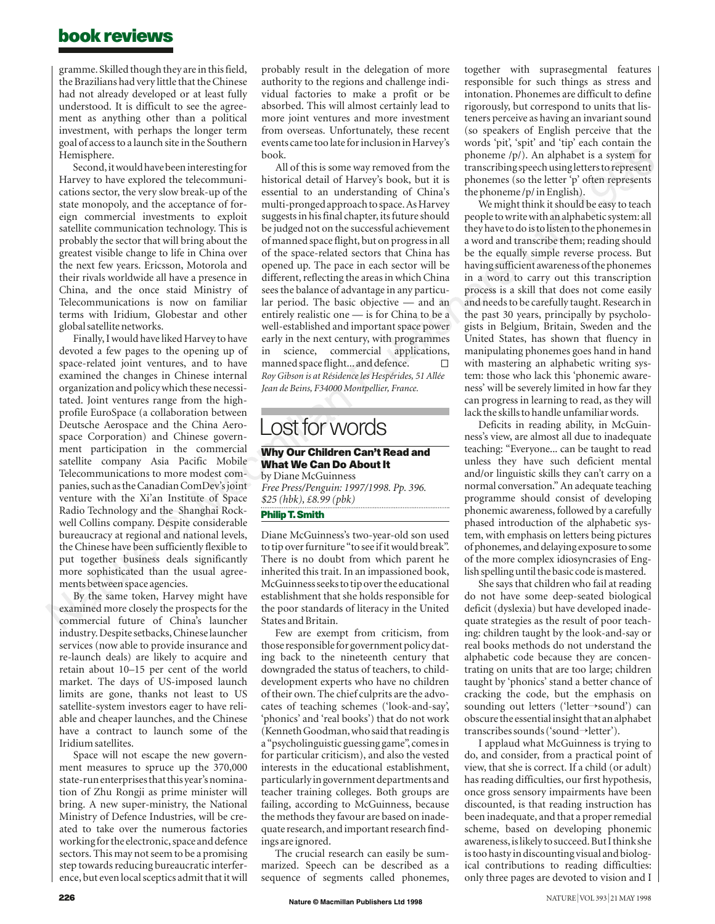## **book reviews**

gramme. Skilled though they are in this field, the Brazilians had very little that the Chinese had not already developed or at least fully understood. It is difficult to see the agreement as anything other than a political investment, with perhaps the longer term goal of access to a launch site in the Southern Hemisphere.

Second, it would have been interesting for Harvey to have explored the telecommunications sector, the very slow break-up of the state monopoly, and the acceptance of foreign commercial investments to exploit satellite communication technology. This is probably the sector that will bring about the greatest visible change to life in China over the next few years. Ericsson, Motorola and their rivals worldwide all have a presence in China, and the once staid Ministry of Telecommunications is now on familiar terms with Iridium, Globestar and other global satellite networks.

Finally, I would have liked Harvey to have devoted a few pages to the opening up of space-related joint ventures, and to have examined the changes in Chinese internal organization and policy which these necessitated. Joint ventures range from the highprofile EuroSpace (a collaboration between Deutsche Aerospace and the China Aerospace Corporation) and Chinese government participation in the commercial satellite company Asia Pacific Mobile Telecommunications to more modest companies, such as the Canadian ComDev's joint venture with the Xi'an Institute of Space Radio Technology and the Shanghai Rockwell Collins company. Despite considerable bureaucracy at regional and national levels, the Chinese have been sufficiently flexible to put together business deals significantly more sophisticated than the usual agreements between space agencies.

By the same token, Harvey might have examined more closely the prospects for the commercial future of China's launcher industry. Despite setbacks, Chinese launcher services (now able to provide insurance and re-launch deals) are likely to acquire and retain about 10–15 per cent of the world market. The days of US-imposed launch limits are gone, thanks not least to US satellite-system investors eager to have reliable and cheaper launches, and the Chinese have a contract to launch some of the Iridium satellites.

Space will not escape the new government measures to spruce up the 370,000 state-run enterprises that this year's nomination of Zhu Rongji as prime minister will bring. A new super-ministry, the National Ministry of Defence Industries, will be created to take over the numerous factories working for the electronic, space and defence sectors. This may not seem to be a promising step towards reducing bureaucratic interference, but even local sceptics admit that it will probably result in the delegation of more authority to the regions and challenge individual factories to make a profit or be absorbed. This will almost certainly lead to more joint ventures and more investment from overseas. Unfortunately, these recent events came too late for inclusion in Harvey's book.

All of this is some way removed from the historical detail of Harvey's book, but it is essential to an understanding of China's multi-pronged approach to space. As Harvey suggests in his final chapter, its future should be judged not on the successful achievement of manned space flight, but on progress in all of the space-related sectors that China has opened up. The pace in each sector will be different, reflecting the areas in which China sees the balance of advantage in any particular period. The basic objective — and an entirely realistic one — is for China to be a well-established and important space power early in the next century, with programmes in science, commercial applications, manned space flight... and defence.  $\Box$ *Roy Gibson is at Résidence les Hespérides, 51 Allée Jean de Beins, F34000 Montpellier, France.*

## Lost for words

### **Why Our Children Can't Read and What We Can Do About It**

by Diane McGuinness *Free Press/Penguin: 1997/1998. Pp. 396. \$25 (hbk), £8.99 (pbk)*

#### **Philip T. Smith**

Diane McGuinness's two-year-old son used to tip over furniture "to see if it would break". There is no doubt from which parent he inherited this trait. In an impassioned book, McGuinness seeks to tip over the educational establishment that she holds responsible for the poor standards of literacy in the United States and Britain.

Few are exempt from criticism, from those responsible for government policy dating back to the nineteenth century that downgraded the status of teachers, to childdevelopment experts who have no children of their own. The chief culprits are the advocates of teaching schemes ('look-and-say', 'phonics' and 'real books') that do not work (Kenneth Goodman, who said that reading is a "psycholinguistic guessing game", comes in for particular criticism), and also the vested interests in the educational establishment, particularly in government departments and teacher training colleges. Both groups are failing, according to McGuinness, because the methods they favour are based on inadequate research, and important research findings are ignored.

The crucial research can easily be summarized. Speech can be described as a sequence of segments called phonemes,

 $\frac{1}{2}$  phoneme  $\frac{1}{2}$ . An alphabet is a system for<br>transcribing speech using letters to represent<br>transcribing (se the letter  $\frac{1}{2}$  cfore represent together with suprasegmental features responsible for such things as stress and intonation. Phonemes are difficult to define rigorously, but correspond to units that listeners perceive as having an invariant sound (so speakers of English perceive that the words 'pit', 'spit' and 'tip' each contain the phoneme /p/). An alphabet is a system for phonemes (so the letter 'p' often represents the phoneme /p/ in English).

We might think it should be easy to teach people to write with an alphabetic system: all they have to do is to listen to the phonemes in a word and transcribe them; reading should be the equally simple reverse process. But having sufficient awareness of the phonemes in a word to carry out this transcription process is a skill that does not come easily and needs to be carefully taught. Research in the past 30 years, principally by psychologists in Belgium, Britain, Sweden and the United States, has shown that fluency in manipulating phonemes goes hand in hand with mastering an alphabetic writing system: those who lack this 'phonemic awareness' will be severely limited in how far they can progress in learning to read, as they will lack the skills to handle unfamiliar words.

Deficits in reading ability, in McGuinness's view, are almost all due to inadequate teaching: "Everyone... can be taught to read unless they have such deficient mental and/or linguistic skills they can't carry on a normal conversation." An adequate teaching programme should consist of developing phonemic awareness, followed by a carefully phased introduction of the alphabetic system, with emphasis on letters being pictures of phonemes, and delaying exposure to some of the more complex idiosyncrasies of English spelling until the basic code is mastered.

She says that children who fail at reading do not have some deep-seated biological deficit (dyslexia) but have developed inadequate strategies as the result of poor teaching: children taught by the look-and-say or real books methods do not understand the alphabetic code because they are concentrating on units that are too large; children taught by 'phonics' stand a better chance of cracking the code, but the emphasis on sounding out letters ('letter→sound') can obscure the essential insight that an alphabet transcribes sounds ('sound→letter').

I applaud what McGuinness is trying to do, and consider, from a practical point of view, that she is correct. If a child (or adult) has reading difficulties, our first hypothesis, once gross sensory impairments have been discounted, is that reading instruction has been inadequate, and that a proper remedial scheme, based on developing phonemic awareness, is likely to succeed. But I think she is too hasty in discounting visual and biological contributions to reading difficulties: only three pages are devoted to vision and I